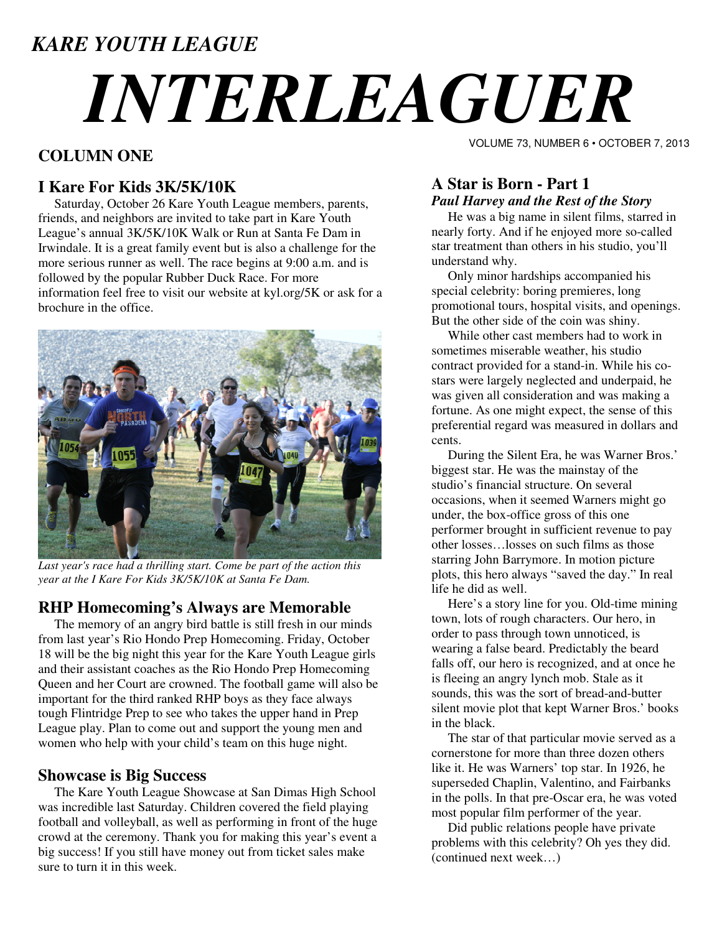# *KARE YOUTH LEAGUE*

# *INTERLEAGUER*

# **COLUMN ONE**

# **I Kare For Kids 3K/5K/10K**

 Saturday, October 26 Kare Youth League members, parents, friends, and neighbors are invited to take part in Kare Youth League's annual 3K/5K/10K Walk or Run at Santa Fe Dam in Irwindale. It is a great family event but is also a challenge for the more serious runner as well. The race begins at 9:00 a.m. and is followed by the popular Rubber Duck Race. For more information feel free to visit our website at kyl.org/5K or ask for a brochure in the office.



*Last year's race had a thrilling start. Come be part of the action this year at the I Kare For Kids 3K/5K/10K at Santa Fe Dam.* 

## **RHP Homecoming's Always are Memorable**

 The memory of an angry bird battle is still fresh in our minds from last year's Rio Hondo Prep Homecoming. Friday, October 18 will be the big night this year for the Kare Youth League girls and their assistant coaches as the Rio Hondo Prep Homecoming Queen and her Court are crowned. The football game will also be important for the third ranked RHP boys as they face always tough Flintridge Prep to see who takes the upper hand in Prep League play. Plan to come out and support the young men and women who help with your child's team on this huge night.

#### **Showcase is Big Success**

 The Kare Youth League Showcase at San Dimas High School was incredible last Saturday. Children covered the field playing football and volleyball, as well as performing in front of the huge crowd at the ceremony. Thank you for making this year's event a big success! If you still have money out from ticket sales make sure to turn it in this week.

VOLUME 73, NUMBER 6 • OCTOBER 7, 2013

### **A Star is Born - Part 1**  *Paul Harvey and the Rest of the Story*

 He was a big name in silent films, starred in nearly forty. And if he enjoyed more so-called star treatment than others in his studio, you'll understand why.

 Only minor hardships accompanied his special celebrity: boring premieres, long promotional tours, hospital visits, and openings. But the other side of the coin was shiny.

 While other cast members had to work in sometimes miserable weather, his studio contract provided for a stand-in. While his costars were largely neglected and underpaid, he was given all consideration and was making a fortune. As one might expect, the sense of this preferential regard was measured in dollars and cents.

 During the Silent Era, he was Warner Bros.' biggest star. He was the mainstay of the studio's financial structure. On several occasions, when it seemed Warners might go under, the box-office gross of this one performer brought in sufficient revenue to pay other losses…losses on such films as those starring John Barrymore. In motion picture plots, this hero always "saved the day." In real life he did as well.

 Here's a story line for you. Old-time mining town, lots of rough characters. Our hero, in order to pass through town unnoticed, is wearing a false beard. Predictably the beard falls off, our hero is recognized, and at once he is fleeing an angry lynch mob. Stale as it sounds, this was the sort of bread-and-butter silent movie plot that kept Warner Bros.' books in the black.

 The star of that particular movie served as a cornerstone for more than three dozen others like it. He was Warners' top star. In 1926, he superseded Chaplin, Valentino, and Fairbanks in the polls. In that pre-Oscar era, he was voted most popular film performer of the year.

 Did public relations people have private problems with this celebrity? Oh yes they did. (continued next week…)